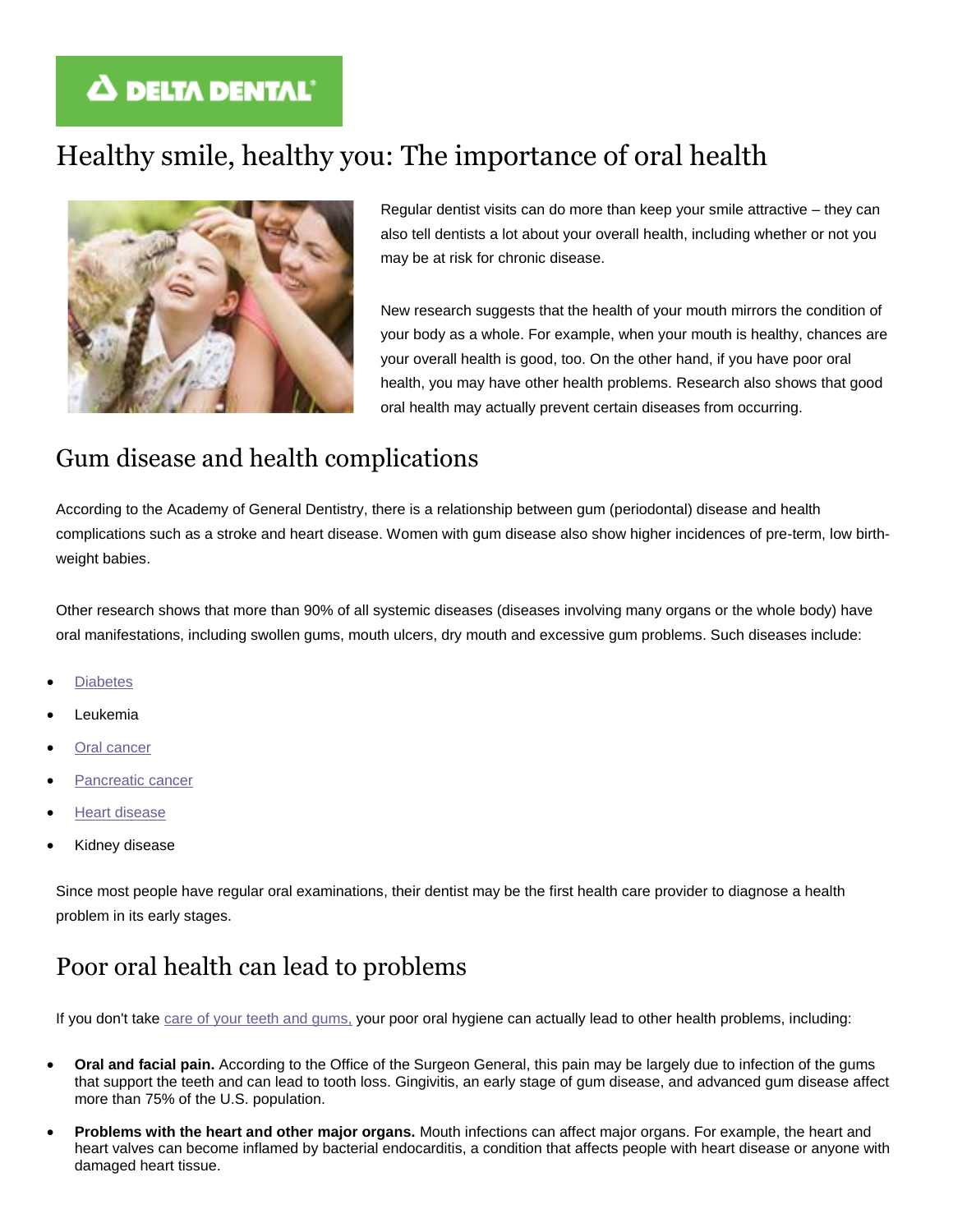# **A DELTA DENTAL'**

# Healthy smile, healthy you: The importance of oral health



Regular dentist visits can do more than keep your smile attractive – they can also tell dentists a lot about your overall health, including whether or not you may be at risk for chronic disease.

New research suggests that the health of your mouth mirrors the condition of your body as a whole. For example, when your mouth is healthy, chances are your overall health is good, too. On the other hand, if you have poor oral health, you may have other health problems. Research also shows that good oral health may actually prevent certain diseases from occurring.

## Gum disease and health complications

According to the Academy of General Dentistry, there is a relationship between gum (periodontal) disease and health complications such as a stroke and heart disease. Women with gum disease also show higher incidences of pre-term, low birthweight babies.

Other research shows that more than 90% of all systemic diseases (diseases involving many organs or the whole body) have oral manifestations, including swollen gums, mouth ulcers, dry mouth and excessive gum problems. Such diseases include:

- **[Diabetes](https://www.deltadentalins.com/oral_health/diabetes.html)**
- Leukemia
- **[Oral cancer](https://www.deltadentalins.com/oral_health/oral_cancer.html)**
- [Pancreatic cancer](https://www.deltadentalins.com/oral_health/pancreatic.html)
- [Heart disease](https://www.deltadentalins.com/oral_health/heart.html)
- Kidney disease

Since most people have regular oral examinations, their dentist may be the first health care provider to diagnose a health problem in its early stages.

### Poor oral health can lead to problems

If you don't take [care of your teeth and gums,](https://www.deltadentalins.com/oral_health/game_plan.html) your poor oral hygiene can actually lead to other health problems, including:

- **Oral and facial pain.** According to the Office of the Surgeon General, this pain may be largely due to infection of the gums that support the teeth and can lead to tooth loss. Gingivitis, an early stage of gum disease, and advanced gum disease affect more than 75% of the U.S. population.
- **Problems with the heart and other major organs.** Mouth infections can affect major organs. For example, the heart and heart valves can become inflamed by bacterial endocarditis, a condition that affects people with heart disease or anyone with damaged heart tissue.